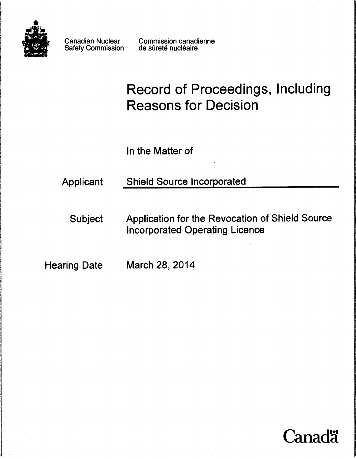

Canadian Nuclear Safety Commission Commission canadienne de sûreté nucléaire

# Record of Proceedings, Including Reasons for Decision

In the Matter of

## Applicant Shield Source Incorporated

Subject Application for the Revocation of Shield Source Incorporated Operating Licence

Hearing Date March 28, 2014

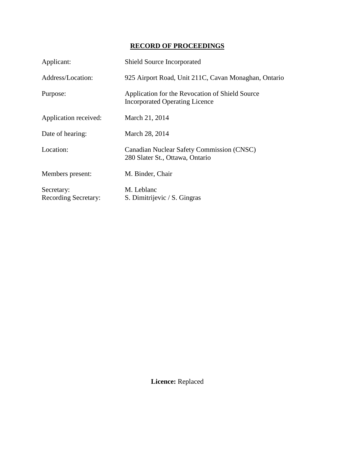### **RECORD OF PROCEEDINGS**

| Applicant:                                | Shield Source Incorporated                                                               |
|-------------------------------------------|------------------------------------------------------------------------------------------|
| Address/Location:                         | 925 Airport Road, Unit 211C, Cavan Monaghan, Ontario                                     |
| Purpose:                                  | Application for the Revocation of Shield Source<br><b>Incorporated Operating Licence</b> |
| Application received:                     | March 21, 2014                                                                           |
| Date of hearing:                          | March 28, 2014                                                                           |
| Location:                                 | <b>Canadian Nuclear Safety Commission (CNSC)</b><br>280 Slater St., Ottawa, Ontario      |
| Members present:                          | M. Binder, Chair                                                                         |
| Secretary:<br><b>Recording Secretary:</b> | M. Leblanc<br>S. Dimitrijevic / S. Gingras                                               |

**Licence:** Replaced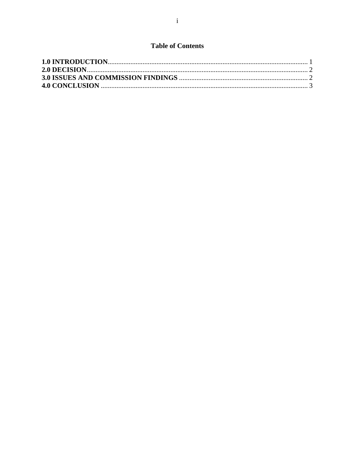#### **Table of Contents**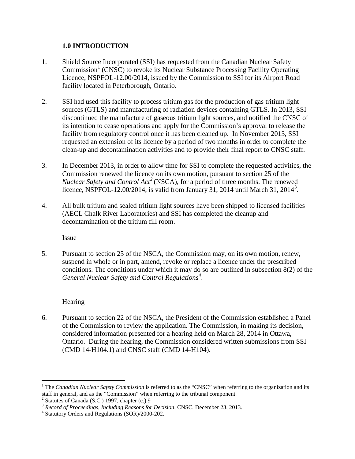#### <span id="page-3-0"></span>**1.0 INTRODUCTION**

- 1. Shield Source Incorporated (SSI) has requested from the Canadian Nuclear Safety  $Commission<sup>1</sup>$  $Commission<sup>1</sup>$  $Commission<sup>1</sup>$  (CNSC) to revoke its Nuclear Substance Processing Facility Operating Licence, NSPFOL-12.00/2014, issued by the Commission to SSI for its Airport Road facility located in Peterborough, Ontario.
- 2. SSI had used this facility to process tritium gas for the production of gas tritium light sources (GTLS) and manufacturing of radiation devices containing GTLS. In 2013, SSI discontinued the manufacture of gaseous tritium light sources, and notified the CNSC of its intention to cease operations and apply for the Commission's approval to release the facility from regulatory control once it has been cleaned up. In November 2013, SSI requested an extension of its licence by a period of two months in order to complete the clean-up and decontamination activities and to provide their final report to CNSC staff.
- 3. In December 2013, in order to allow time for SSI to complete the requested activities, the Commission renewed the licence on its own motion, pursuant to section 25 of the *Nuclear Safety and Control Act<sup>[2](#page-3-2)</sup>* (NSCA), for a period of three months. The renewed licence, NSPFOL-12.00/2014, is valid from January [3](#page-3-3)1, 2014 until March 31, 2014<sup>3</sup>.
- 4. All bulk tritium and sealed tritium light sources have been shipped to licensed facilities (AECL Chalk River Laboratories) and SSI has completed the cleanup and decontamination of the tritium fill room.

Issue

5. Pursuant to section 25 of the NSCA, the Commission may, on its own motion, renew, suspend in whole or in part, amend, revoke or replace a licence under the prescribed conditions. The conditions under which it may do so are outlined in subsection 8(2) of the *General Nuclear Safety and Control Regulations[4](#page-3-4)* .

#### **Hearing**

 $\overline{a}$ 

6. Pursuant to section 22 of the NSCA, the President of the Commission established a Panel of the Commission to review the application. The Commission, in making its decision, considered information presented for a hearing held on March 28, 2014 in Ottawa, Ontario. During the hearing, the Commission considered written submissions from SSI (CMD 14-H104.1) and CNSC staff (CMD 14-H104).

<span id="page-3-1"></span><sup>&</sup>lt;sup>1</sup> The *Canadian Nuclear Safety Commission* is referred to as the "CNSC" when referring to the organization and its staff in general, and as the "Commission" when referring to the tribunal component.<br><sup>2</sup> Statutes of Canada (S.C.) 1997, chapter (c.) 9

<span id="page-3-3"></span><span id="page-3-2"></span><sup>&</sup>lt;sup>3</sup> *Record of Proceedings, Including Reasons for Decision*, CNSC, December 23, 2013.<br><sup>4</sup> Statutory Orders and Regulations (SOR)/2000-202.

<span id="page-3-4"></span>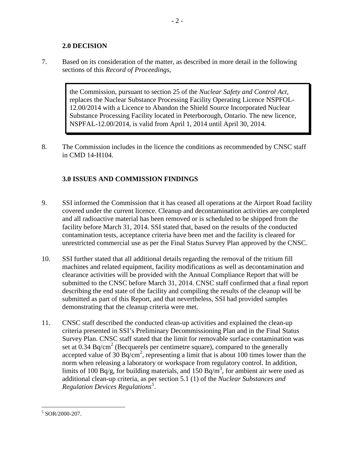#### <span id="page-4-0"></span>**2.0 DECISION**

7. Based on its consideration of the matter, as described in more detail in the following sections of this *Record of Proceedings*,

> the Commission, pursuant to section 25 of the *Nuclear Safety and Control Act*, replaces the Nuclear Substance Processing Facility Operating Licence NSPFOL-12.00/2014 with a Licence to Abandon the Shield Source Incorporated Nuclear Substance Processing Facility located in Peterborough, Ontario. The new licence, NSPFAL-12.00/2014, is valid from April 1, 2014 until April 30, 2014.

8. The Commission includes in the licence the conditions as recommended by CNSC staff in CMD 14-H104.

#### <span id="page-4-1"></span>**3.0 ISSUES AND COMMISSION FINDINGS**

- 9. SSI informed the Commission that it has ceased all operations at the Airport Road facility covered under the current licence. Cleanup and decontamination activities are completed and all radioactive material has been removed or is scheduled to be shipped from the facility before March 31, 2014. SSI stated that, based on the results of the conducted contamination tests, acceptance criteria have been met and the facility is cleared for unrestricted commercial use as per the Final Status Survey Plan approved by the CNSC.
- 10. SSI further stated that all additional details regarding the removal of the tritium fill machines and related equipment, facility modifications as well as decontamination and clearance activities will be provided with the Annual Compliance Report that will be submitted to the CNSC before March 31, 2014. CNSC staff confirmed that a final report describing the end state of the facility and compiling the results of the cleanup will be submitted as part of this Report, and that nevertheless, SSI had provided samples demonstrating that the cleanup criteria were met.
- 11. CNSC staff described the conducted clean-up activities and explained the clean-up criteria presented in SSI's Preliminary Decommissioning Plan and in the Final Status Survey Plan. CNSC staff stated that the limit for removable surface contamination was set at 0.34 Bq/cm<sup>2</sup> (Becquerels per centimetre square), compared to the generally accepted value of 30 Bq/cm<sup>2</sup>, representing a limit that is about 100 times lower than the norm when releasing a laboratory or workspace from regulatory control. In addition, limits of 100 Bq/g, for building materials, and 150 Bq/m<sup>3</sup>, for ambient air were used as additional clean-up criteria, as per section 5.1 (1) of the *Nuclear Substances and Regulation Devices Regulations[5](#page-4-2)* .

<span id="page-4-2"></span> $5$  SOR/2000-207.  $\overline{a}$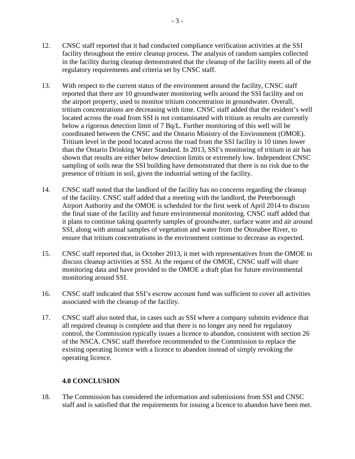- 12. CNSC staff reported that it had conducted compliance verification activities at the SSI facility throughout the entire cleanup process. The analysis of random samples collected in the facility during cleanup demonstrated that the cleanup of the facility meets all of the regulatory requirements and criteria set by CNSC staff.
- 13. With respect to the current status of the environment around the facility, CNSC staff reported that there are 10 groundwater monitoring wells around the SSI facility and on the airport property, used to monitor tritium concentration in groundwater. Overall, tritium concentrations are decreasing with time. CNSC staff added that the resident's well located across the road from SSI is not contaminated with tritium as results are currently below a rigorous detection limit of 7 Bq/L. Further monitoring of this well will be coordinated between the CNSC and the Ontario Ministry of the Environment (OMOE). Tritium level in the pond located across the road from the SSI facility is 10 times lower than the Ontario Drinking Water Standard. In 2013, SSI's monitoring of tritium in air has shown that results are either below detection limits or extremely low. Independent CNSC sampling of soils near the SSI building have demonstrated that there is no risk due to the presence of tritium in soil, given the industrial setting of the facility.
- 14. CNSC staff noted that the landlord of the facility has no concerns regarding the cleanup of the facility. CNSC staff added that a meeting with the landlord, the Peterborough Airport Authority and the OMOE is scheduled for the first week of April 2014 to discuss the final state of the facility and future environmental monitoring. CNSC staff added that it plans to continue taking quarterly samples of groundwater, surface water and air around SSI, along with annual samples of vegetation and water from the Otonabee River, to ensure that tritium concentrations in the environment continue to decrease as expected.
- 15. CNSC staff reported that, in October 2013, it met with representatives from the OMOE to discuss cleanup activities at SSI. At the request of the OMOE, CNSC staff will share monitoring data and have provided to the OMOE a draft plan for future environmental monitoring around SSI.
- 16. CNSC staff indicated that SSI's escrow account fund was sufficient to cover all activities associated with the cleanup of the facility.
- 17. CNSC staff also noted that, in cases such as SSI where a company submits evidence that all required cleanup is complete and that there is no longer any need for regulatory control, the Commission typically issues a licence to abandon, consistent with section 26 of the NSCA. CNSC staff therefore recommended to the Commission to replace the existing operating licence with a licence to abandon instead of simply revoking the operating licence.

#### <span id="page-5-0"></span>**4.0 CONCLUSION**

18. The Commission has considered the information and submissions from SSI and CNSC staff and is satisfied that the requirements for issuing a licence to abandon have been met.